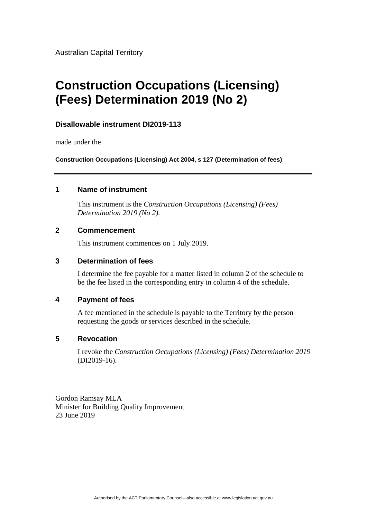Australian Capital Territory

# **Construction Occupations (Licensing) (Fees) Determination 2019 (No 2)**

## **Disallowable instrument DI2019-113**

made under the

**Construction Occupations (Licensing) Act 2004, s 127 (Determination of fees)**

## **1 Name of instrument**

This instrument is the *Construction Occupations (Licensing) (Fees) Determination 2019 (No 2).*

## **2 Commencement**

This instrument commences on 1 July 2019.

## **3 Determination of fees**

I determine the fee payable for a matter listed in column 2 of the schedule to be the fee listed in the corresponding entry in column 4 of the schedule.

## **4 Payment of fees**

A fee mentioned in the schedule is payable to the Territory by the person requesting the goods or services described in the schedule.

## **5 Revocation**

I revoke the *Construction Occupations (Licensing) (Fees) Determination 2019* (DI2019-16).

Gordon Ramsay MLA Minister for Building Quality Improvement 23 June 2019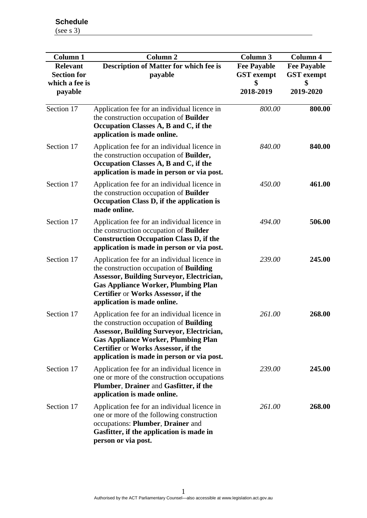**Schedule** (see s 3)

| <b>Column 1</b><br><b>Relevant</b><br><b>Section for</b><br>which a fee is<br>payable | <b>Column 2</b><br><b>Description of Matter for which fee is</b><br>payable                                                                                                                                                                                                           | <b>Column 3</b><br><b>Fee Payable</b><br><b>GST</b> exempt<br>\$<br>2018-2019 | Column 4<br><b>Fee Payable</b><br><b>GST</b> exempt<br>\$<br>2019-2020 |
|---------------------------------------------------------------------------------------|---------------------------------------------------------------------------------------------------------------------------------------------------------------------------------------------------------------------------------------------------------------------------------------|-------------------------------------------------------------------------------|------------------------------------------------------------------------|
| Section 17                                                                            | Application fee for an individual licence in<br>the construction occupation of <b>Builder</b><br>Occupation Classes A, B and C, if the<br>application is made online.                                                                                                                 | 800.00                                                                        | 800.00                                                                 |
| Section 17                                                                            | Application fee for an individual licence in<br>the construction occupation of <b>Builder</b> ,<br>Occupation Classes A, B and C, if the<br>application is made in person or via post.                                                                                                | 840.00                                                                        | 840.00                                                                 |
| Section 17                                                                            | Application fee for an individual licence in<br>the construction occupation of Builder<br>Occupation Class D, if the application is<br>made online.                                                                                                                                   | 450.00                                                                        | 461.00                                                                 |
| Section 17                                                                            | Application fee for an individual licence in<br>the construction occupation of Builder<br><b>Construction Occupation Class D, if the</b><br>application is made in person or via post.                                                                                                | 494.00                                                                        | 506.00                                                                 |
| Section 17                                                                            | Application fee for an individual licence in<br>the construction occupation of <b>Building</b><br><b>Assessor, Building Surveyor, Electrician,</b><br><b>Gas Appliance Worker, Plumbing Plan</b><br><b>Certifier or Works Assessor, if the</b><br>application is made online.         | 239.00                                                                        | 245.00                                                                 |
| Section 17                                                                            | Application fee for an individual licence in<br>the construction occupation of <b>Building</b><br><b>Assessor, Building Surveyor, Electrician,</b><br><b>Gas Appliance Worker, Plumbing Plan</b><br>Certifier or Works Assessor, if the<br>application is made in person or via post. | 261.00                                                                        | 268.00                                                                 |
| Section 17                                                                            | Application fee for an individual licence in<br>one or more of the construction occupations<br>Plumber, Drainer and Gasfitter, if the<br>application is made online.                                                                                                                  | 239.00                                                                        | 245.00                                                                 |
| Section 17                                                                            | Application fee for an individual licence in<br>one or more of the following construction<br>occupations: Plumber, Drainer and<br>Gasfitter, if the application is made in<br>person or via post.                                                                                     | 261.00                                                                        | 268.00                                                                 |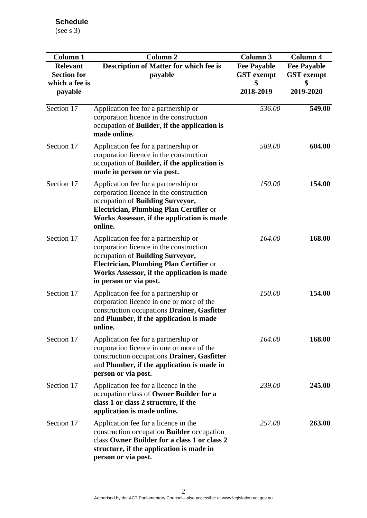**Schedule** (see s 3)

| <b>Column 1</b><br><b>Relevant</b><br><b>Section for</b><br>which a fee is<br>payable | <b>Column 2</b><br><b>Description of Matter for which fee is</b><br>payable                                                                                                                                                            | <b>Column 3</b><br><b>Fee Payable</b><br><b>GST</b> exempt<br>\$<br>2018-2019 | Column 4<br><b>Fee Payable</b><br><b>GST</b> exempt<br>\$<br>2019-2020 |
|---------------------------------------------------------------------------------------|----------------------------------------------------------------------------------------------------------------------------------------------------------------------------------------------------------------------------------------|-------------------------------------------------------------------------------|------------------------------------------------------------------------|
| Section 17                                                                            | Application fee for a partnership or<br>corporation licence in the construction<br>occupation of Builder, if the application is<br>made online.                                                                                        | 536.00                                                                        | 549.00                                                                 |
| Section 17                                                                            | Application fee for a partnership or<br>corporation licence in the construction<br>occupation of Builder, if the application is<br>made in person or via post.                                                                         | 589.00                                                                        | 604.00                                                                 |
| Section 17                                                                            | Application fee for a partnership or<br>corporation licence in the construction<br>occupation of <b>Building Surveyor,</b><br>Electrician, Plumbing Plan Certifier or<br>Works Assessor, if the application is made<br>online.         | 150.00                                                                        | 154.00                                                                 |
| Section 17                                                                            | Application fee for a partnership or<br>corporation licence in the construction<br>occupation of Building Surveyor,<br>Electrician, Plumbing Plan Certifier or<br>Works Assessor, if the application is made<br>in person or via post. | 164.00                                                                        | 168.00                                                                 |
| Section 17                                                                            | Application fee for a partnership or<br>corporation licence in one or more of the<br>construction occupations Drainer, Gasfitter<br>and Plumber, if the application is made<br>online.                                                 | 150.00                                                                        | 154.00                                                                 |
| Section 17                                                                            | Application fee for a partnership or<br>corporation licence in one or more of the<br>construction occupations Drainer, Gasfitter<br>and Plumber, if the application is made in<br>person or via post.                                  | 164.00                                                                        | 168.00                                                                 |
| Section 17                                                                            | Application fee for a licence in the<br>occupation class of Owner Builder for a<br>class 1 or class 2 structure, if the<br>application is made online.                                                                                 | 239.00                                                                        | 245.00                                                                 |
| Section 17                                                                            | Application fee for a licence in the<br>construction occupation <b>Builder</b> occupation<br>class Owner Builder for a class 1 or class 2<br>structure, if the application is made in<br>person or via post.                           | 257.00                                                                        | <b>263.00</b>                                                          |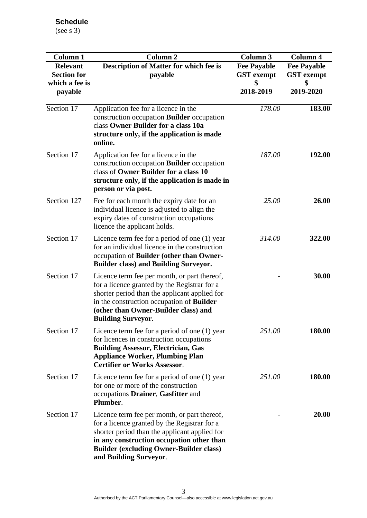| <b>Column 1</b><br><b>Relevant</b><br><b>Section for</b><br>which a fee is<br>payable | <b>Column 2</b><br><b>Description of Matter for which fee is</b><br>payable                                                                                                                                                                                            | <b>Column 3</b><br><b>Fee Payable</b><br><b>GST</b> exempt<br>2018-2019 | <b>Column 4</b><br><b>Fee Payable</b><br><b>GST</b> exempt<br>\$<br>2019-2020 |
|---------------------------------------------------------------------------------------|------------------------------------------------------------------------------------------------------------------------------------------------------------------------------------------------------------------------------------------------------------------------|-------------------------------------------------------------------------|-------------------------------------------------------------------------------|
| Section 17                                                                            | Application fee for a licence in the<br>construction occupation <b>Builder</b> occupation<br>class Owner Builder for a class 10a<br>structure only, if the application is made<br>online.                                                                              | 178.00                                                                  | 183.00                                                                        |
| Section 17                                                                            | Application fee for a licence in the<br>construction occupation <b>Builder</b> occupation<br>class of Owner Builder for a class 10<br>structure only, if the application is made in<br>person or via post.                                                             | 187.00                                                                  | 192.00                                                                        |
| Section 127                                                                           | Fee for each month the expiry date for an<br>individual licence is adjusted to align the<br>expiry dates of construction occupations<br>licence the applicant holds.                                                                                                   | 25.00                                                                   | 26.00                                                                         |
| Section 17                                                                            | Licence term fee for a period of one (1) year<br>for an individual licence in the construction<br>occupation of Builder (other than Owner-<br><b>Builder class) and Building Surveyor.</b>                                                                             | 314.00                                                                  | 322.00                                                                        |
| Section 17                                                                            | Licence term fee per month, or part thereof,<br>for a licence granted by the Registrar for a<br>shorter period than the applicant applied for<br>in the construction occupation of <b>Builder</b><br>(other than Owner-Builder class) and<br><b>Building Surveyor.</b> |                                                                         | 30.00                                                                         |
| Section 17                                                                            | Licence term fee for a period of one (1) year<br>for licences in construction occupations<br><b>Building Assessor, Electrician, Gas</b><br><b>Appliance Worker, Plumbing Plan</b><br><b>Certifier or Works Assessor.</b>                                               | 251.00                                                                  | 180.00                                                                        |
| Section 17                                                                            | Licence term fee for a period of one $(1)$ year<br>for one or more of the construction<br>occupations Drainer, Gasfitter and<br>Plumber.                                                                                                                               | 251.00                                                                  | 180.00                                                                        |
| Section 17                                                                            | Licence term fee per month, or part thereof,<br>for a licence granted by the Registrar for a<br>shorter period than the applicant applied for<br>in any construction occupation other than<br><b>Builder (excluding Owner-Builder class)</b><br>and Building Surveyor. |                                                                         | 20.00                                                                         |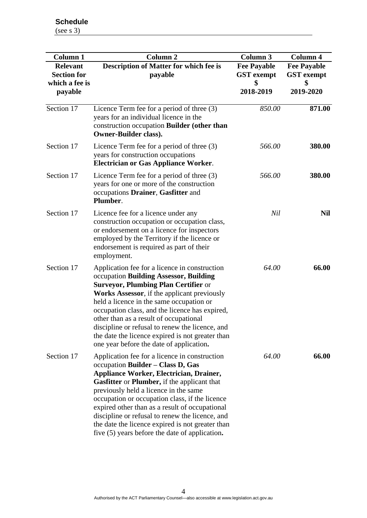**Schedule** (see s 3)

| <b>Column 1</b>                                         | <b>Column 2</b>                                                                                                                                                                                                                                                                                                                                                                                                                                                                                          | <b>Column 3</b>                         | Column 4                                |
|---------------------------------------------------------|----------------------------------------------------------------------------------------------------------------------------------------------------------------------------------------------------------------------------------------------------------------------------------------------------------------------------------------------------------------------------------------------------------------------------------------------------------------------------------------------------------|-----------------------------------------|-----------------------------------------|
| <b>Relevant</b><br><b>Section for</b><br>which a fee is | <b>Description of Matter for which fee is</b><br>payable                                                                                                                                                                                                                                                                                                                                                                                                                                                 | <b>Fee Payable</b><br><b>GST</b> exempt | <b>Fee Payable</b><br><b>GST</b> exempt |
| payable                                                 |                                                                                                                                                                                                                                                                                                                                                                                                                                                                                                          | 2018-2019                               | 2019-2020                               |
| Section 17                                              | Licence Term fee for a period of three (3)<br>years for an individual licence in the<br>construction occupation Builder (other than<br><b>Owner-Builder class).</b>                                                                                                                                                                                                                                                                                                                                      | 850.00                                  | 871.00                                  |
| Section 17                                              | Licence Term fee for a period of three $(3)$<br>years for construction occupations<br><b>Electrician or Gas Appliance Worker.</b>                                                                                                                                                                                                                                                                                                                                                                        | 566.00                                  | 380.00                                  |
| Section 17                                              | Licence Term fee for a period of three (3)<br>years for one or more of the construction<br>occupations Drainer, Gasfitter and<br>Plumber.                                                                                                                                                                                                                                                                                                                                                                | 566.00                                  | 380.00                                  |
| Section 17                                              | Licence fee for a licence under any<br>construction occupation or occupation class,<br>or endorsement on a licence for inspectors<br>employed by the Territory if the licence or<br>endorsement is required as part of their<br>employment.                                                                                                                                                                                                                                                              | Nil                                     | <b>Nil</b>                              |
| Section 17                                              | Application fee for a licence in construction<br>occupation Building Assessor, Building<br><b>Surveyor, Plumbing Plan Certifier or</b><br>Works Assessor, if the applicant previously<br>held a licence in the same occupation or<br>occupation class, and the licence has expired,<br>other than as a result of occupational<br>discipline or refusal to renew the licence, and<br>the date the licence expired is not greater than<br>one year before the date of application.                         | 64.00                                   | 66.00                                   |
| Section 17                                              | Application fee for a licence in construction<br>occupation Builder - Class D, Gas<br><b>Appliance Worker, Electrician, Drainer,</b><br><b>Gasfitter</b> or <b>Plumber</b> , if the applicant that<br>previously held a licence in the same<br>occupation or occupation class, if the licence<br>expired other than as a result of occupational<br>discipline or refusal to renew the licence, and<br>the date the licence expired is not greater than<br>five (5) years before the date of application. | 64.00                                   | 66.00                                   |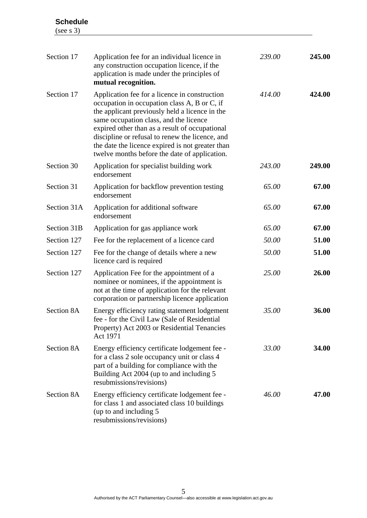(see s 3)

| Section 17  | Application fee for an individual licence in<br>any construction occupation licence, if the<br>application is made under the principles of<br>mutual recognition.                                                                                                                                                                                                                                   | 239.00 | 245.00 |
|-------------|-----------------------------------------------------------------------------------------------------------------------------------------------------------------------------------------------------------------------------------------------------------------------------------------------------------------------------------------------------------------------------------------------------|--------|--------|
| Section 17  | Application fee for a licence in construction<br>occupation in occupation class A, B or C, if<br>the applicant previously held a licence in the<br>same occupation class, and the licence<br>expired other than as a result of occupational<br>discipline or refusal to renew the licence, and<br>the date the licence expired is not greater than<br>twelve months before the date of application. | 414.00 | 424.00 |
| Section 30  | Application for specialist building work<br>endorsement                                                                                                                                                                                                                                                                                                                                             | 243.00 | 249.00 |
| Section 31  | Application for backflow prevention testing<br>endorsement                                                                                                                                                                                                                                                                                                                                          | 65.00  | 67.00  |
| Section 31A | Application for additional software<br>endorsement                                                                                                                                                                                                                                                                                                                                                  | 65.00  | 67.00  |
| Section 31B | Application for gas appliance work                                                                                                                                                                                                                                                                                                                                                                  | 65.00  | 67.00  |
| Section 127 | Fee for the replacement of a licence card                                                                                                                                                                                                                                                                                                                                                           | 50.00  | 51.00  |
| Section 127 | Fee for the change of details where a new<br>licence card is required                                                                                                                                                                                                                                                                                                                               | 50.00  | 51.00  |
| Section 127 | Application Fee for the appointment of a<br>nominee or nominees, if the appointment is<br>not at the time of application for the relevant<br>corporation or partnership licence application                                                                                                                                                                                                         | 25.00  | 26.00  |
| Section 8A  | Energy efficiency rating statement lodgement<br>fee - for the Civil Law (Sale of Residential<br>Property) Act 2003 or Residential Tenancies<br>Act 1971                                                                                                                                                                                                                                             | 35.00  | 36.00  |
| Section 8A  | Energy efficiency certificate lodgement fee -<br>for a class 2 sole occupancy unit or class 4<br>part of a building for compliance with the<br>Building Act 2004 (up to and including 5<br>resubmissions/revisions)                                                                                                                                                                                 | 33.00  | 34.00  |
| Section 8A  | Energy efficiency certificate lodgement fee -<br>for class 1 and associated class 10 buildings<br>(up to and including 5<br>resubmissions/revisions)                                                                                                                                                                                                                                                | 46.00  | 47.00  |